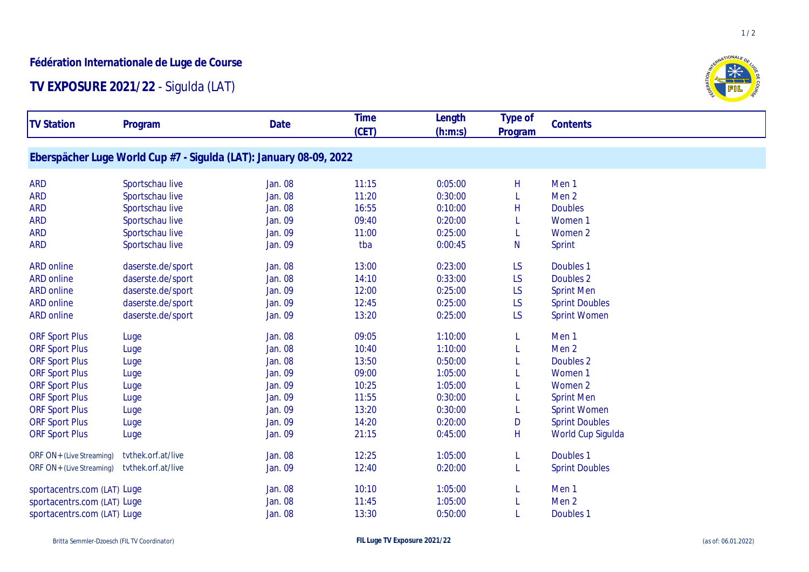## **Fédération Internationale de Luge de Course**

## **TV EXPOSURE 2021/22** - Sigulda (LAT)

| <b>TV Station</b>           | Program                                                            | <b>Date</b>    | <b>Time</b><br>(CET) | Length<br>(h:m:s) | Type of<br>Program | Contents              |  |
|-----------------------------|--------------------------------------------------------------------|----------------|----------------------|-------------------|--------------------|-----------------------|--|
|                             | Eberspächer Luge World Cup #7 - Sigulda (LAT): January 08-09, 2022 |                |                      |                   |                    |                       |  |
| <b>ARD</b>                  | Sportschau live                                                    | Jan. 08        | 11:15                | 0:05:00           | Н                  | Men <sub>1</sub>      |  |
| <b>ARD</b>                  | Sportschau live                                                    | <b>Jan. 08</b> | 11:20                | 0:30:00           |                    | Men <sub>2</sub>      |  |
| <b>ARD</b>                  | Sportschau live                                                    | Jan. 08        | 16:55                | 0:10:00           | H                  | <b>Doubles</b>        |  |
| <b>ARD</b>                  | Sportschau live                                                    | <b>Jan. 09</b> | 09:40                | 0:20:00           |                    | Women 1               |  |
| <b>ARD</b>                  | Sportschau live                                                    | <b>Jan. 09</b> | 11:00                | 0:25:00           |                    | Women 2               |  |
| <b>ARD</b>                  | Sportschau live                                                    | Jan. 09        | tba                  | 0:00:45           | N                  | <b>Sprint</b>         |  |
| <b>ARD online</b>           | daserste.de/sport                                                  | Jan. 08        | 13:00                | 0:23:00           | LS                 | Doubles 1             |  |
| <b>ARD online</b>           | daserste.de/sport                                                  | <b>Jan. 08</b> | 14:10                | 0:33:00           | LS                 | Doubles <sub>2</sub>  |  |
| <b>ARD online</b>           | daserste.de/sport                                                  | <b>Jan. 09</b> | 12:00                | 0:25:00           | LS                 | <b>Sprint Men</b>     |  |
| <b>ARD online</b>           | daserste.de/sport                                                  | <b>Jan. 09</b> | 12:45                | 0:25:00           | LS                 | <b>Sprint Doubles</b> |  |
| <b>ARD online</b>           | daserste.de/sport                                                  | Jan. 09        | 13:20                | 0:25:00           | LS                 | <b>Sprint Women</b>   |  |
| <b>ORF Sport Plus</b>       | Luge                                                               | Jan. 08        | 09:05                | 1:10:00           |                    | Men <sub>1</sub>      |  |
| <b>ORF Sport Plus</b>       | Luge                                                               | <b>Jan. 08</b> | 10:40                | 1:10:00           |                    | Men <sub>2</sub>      |  |
| <b>ORF Sport Plus</b>       | Luge                                                               | <b>Jan. 08</b> | 13:50                | 0:50:00           |                    | Doubles 2             |  |
| <b>ORF Sport Plus</b>       | Luge                                                               | Jan. 09        | 09:00                | 1:05:00           |                    | Women <sub>1</sub>    |  |
| <b>ORF Sport Plus</b>       | Luge                                                               | Jan. 09        | 10:25                | 1:05:00           |                    | Women 2               |  |
| <b>ORF Sport Plus</b>       | Luge                                                               | Jan. 09        | 11:55                | 0:30:00           |                    | <b>Sprint Men</b>     |  |
| <b>ORF Sport Plus</b>       | Luge                                                               | <b>Jan. 09</b> | 13:20                | 0:30:00           |                    | <b>Sprint Women</b>   |  |
| <b>ORF Sport Plus</b>       | Luge                                                               | Jan. 09        | 14:20                | 0:20:00           | D                  | <b>Sprint Doubles</b> |  |
| <b>ORF Sport Plus</b>       | Luge                                                               | Jan. 09        | 21:15                | 0:45:00           | H                  | World Cup Sigulda     |  |
| ORF ON+ (Live Streaming)    | tvthek.orf.at/live                                                 | <b>Jan. 08</b> | 12:25                | 1:05:00           |                    | Doubles <sub>1</sub>  |  |
| ORF ON+ (Live Streaming)    | tvthek.orf.at/live                                                 | Jan. 09        | 12:40                | 0:20:00           |                    | <b>Sprint Doubles</b> |  |
| sportacentrs.com (LAT) Luge |                                                                    | <b>Jan. 08</b> | 10:10                | 1:05:00           |                    | Men <sub>1</sub>      |  |
| sportacentrs.com (LAT) Luge |                                                                    | <b>Jan. 08</b> | 11:45                | 1:05:00           |                    | Men <sub>2</sub>      |  |
| sportacentrs.com (LAT) Luge |                                                                    | <b>Jan. 08</b> | 13:30                | 0:50:00           |                    | Doubles <sub>1</sub>  |  |



 $1/2$